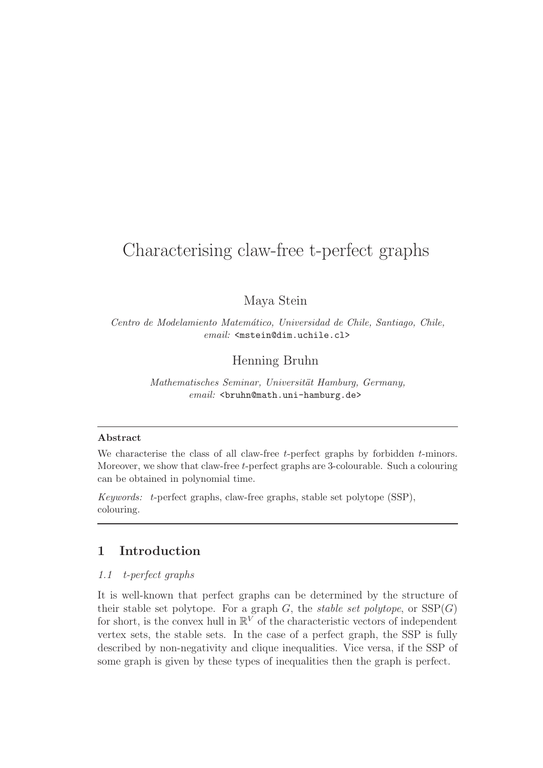# Characterising claw-free t-perfect graphs

# Maya Stein

Centro de Modelamiento Matem´atico, Universidad de Chile, Santiago, Chile, email: <mstein@dim.uchile.cl>

Henning Bruhn

Mathematisches Seminar, Universität Hamburg, Germany,  $email:$  <br/>bruhn@math.uni-hamburg.de>

#### Abstract

We characterise the class of all claw-free  $t$ -perfect graphs by forbidden  $t$ -minors. Moreover, we show that claw-free t-perfect graphs are 3-colourable. Such a colouring can be obtained in polynomial time.

Keywords: t-perfect graphs, claw-free graphs, stable set polytope (SSP), colouring.

# 1 Introduction

## 1.1 t-perfect graphs

It is well-known that perfect graphs can be determined by the structure of their stable set polytope. For a graph  $G$ , the *stable set polytope*, or  $SSP(G)$ for short, is the convex hull in  $\mathbb{R}^V$  of the characteristic vectors of independent vertex sets, the stable sets. In the case of a perfect graph, the SSP is fully described by non-negativity and clique inequalities. Vice versa, if the SSP of some graph is given by these types of inequalities then the graph is perfect.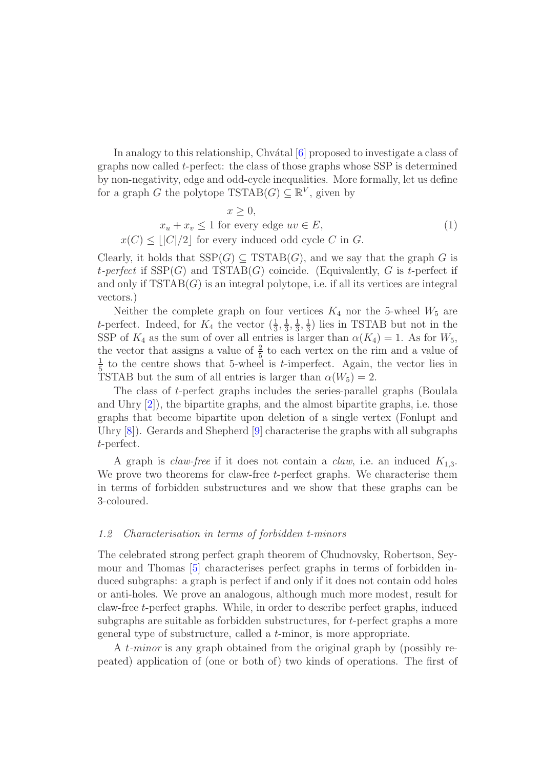In analogy to this relationship, Chv $\acute{\text{a}}$ tal  $[6]$  proposed to investigate a class of graphs now called t-perfect: the class of those graphs whose SSP is determined by non-negativity, edge and odd-cycle inequalities. More formally, let us define for a graph G the polytope  $\text{TSTAB}(G) \subseteq \mathbb{R}^V$ , given by

$$
x \ge 0,
$$
  
\n
$$
x_u + x_v \le 1 \text{ for every edge } uv \in E,
$$
  
\n
$$
x(C) \le ||C|/2] \text{ for every induced odd cycle } C \text{ in } G.
$$
\n(1)

Clearly, it holds that  $SSP(G) \subseteq TSTAB(G)$ , and we say that the graph G is t-perfect if  $SSP(G)$  and  $TSTAB(G)$  coincide. (Equivalently, G is t-perfect if and only if  $TSTAB(G)$  is an integral polytope, i.e. if all its vertices are integral vectors.)

Neither the complete graph on four vertices  $K_4$  nor the 5-wheel  $W_5$  are *t*-perfect. Indeed, for  $K_4$  the vector  $(\frac{1}{3}, \frac{1}{3})$  $\frac{1}{3}, \frac{1}{3}$  $\frac{1}{3}, \frac{1}{3}$  $\frac{1}{3}$ ) lies in TSTAB but not in the SSP of  $K_4$  as the sum of over all entries is larger than  $\alpha(K_4) = 1$ . As for  $W_5$ , the vector that assigns a value of  $\frac{2}{5}$  to each vertex on the rim and a value of 1  $\frac{1}{5}$  to the centre shows that 5-wheel is *t*-imperfect. Again, the vector lies in TSTAB but the sum of all entries is larger than  $\alpha(W_5) = 2$ .

The class of t-perfect graphs includes the series-parallel graphs (Boulala and Uhry [\[2\]](#page-5-0)), the bipartite graphs, and the almost bipartite graphs, i.e. those graphs that become bipartite upon deletion of a single vertex (Fonlupt and Uhry [\[8\]](#page-6-1)). Gerards and Shepherd [\[9\]](#page-6-2) characterise the graphs with all subgraphs t-perfect.

A graph is *claw-free* if it does not contain a *claw*, i.e. an induced  $K_{1,3}$ . We prove two theorems for claw-free  $t$ -perfect graphs. We characterise them in terms of forbidden substructures and we show that these graphs can be 3-coloured.

## 1.2 Characterisation in terms of forbidden t-minors

The celebrated strong perfect graph theorem of Chudnovsky, Robertson, Seymour and Thomas [\[5\]](#page-6-3) characterises perfect graphs in terms of forbidden induced subgraphs: a graph is perfect if and only if it does not contain odd holes or anti-holes. We prove an analogous, although much more modest, result for claw-free t-perfect graphs. While, in order to describe perfect graphs, induced subgraphs are suitable as forbidden substructures, for t-perfect graphs a more general type of substructure, called a t-minor, is more appropriate.

A t-minor is any graph obtained from the original graph by (possibly repeated) application of (one or both of) two kinds of operations. The first of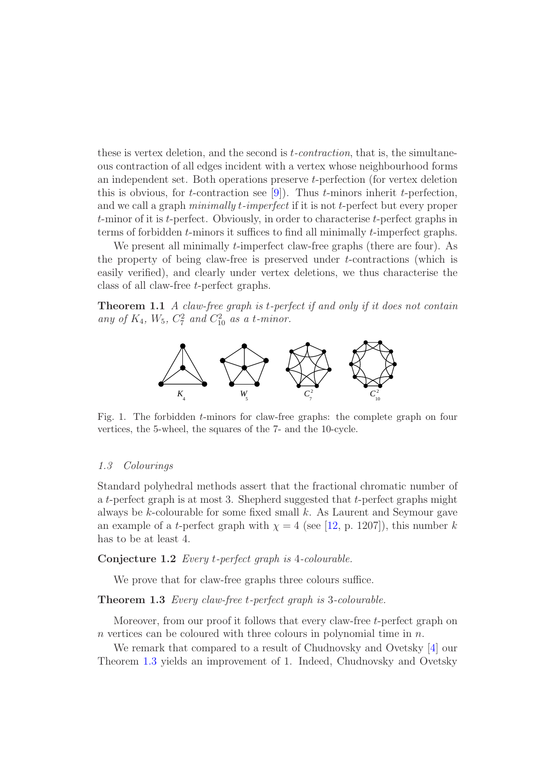these is vertex deletion, and the second is  $t$ -contraction, that is, the simultaneous contraction of all edges incident with a vertex whose neighbourhood forms an independent set. Both operations preserve t-perfection (for vertex deletion this is obvious, for *t*-contraction see [\[9\]](#page-6-2)). Thus *t*-minors inherit *t*-perfection, and we call a graph *minimally t-imperfect* if it is not *t*-perfect but every proper t-minor of it is t-perfect. Obviously, in order to characterise t-perfect graphs in terms of forbidden t-minors it suffices to find all minimally t-imperfect graphs.

We present all minimally *t*-imperfect claw-free graphs (there are four). As the property of being claw-free is preserved under t-contractions (which is easily verified), and clearly under vertex deletions, we thus characterise the class of all claw-free t-perfect graphs.

**Theorem 1.1** A claw-free graph is t-perfect if and only if it does not contain any of  $K_4$ ,  $W_5$ ,  $C_7^2$  and  $C_{10}^2$  as a t-minor.



Fig. 1. The forbidden t-minors for claw-free graphs: the complete graph on four vertices, the 5-wheel, the squares of the 7- and the 10-cycle.

## 1.3 Colourings

Standard polyhedral methods assert that the fractional chromatic number of a t-perfect graph is at most 3. Shepherd suggested that t-perfect graphs might always be  $k$ -colourable for some fixed small  $k$ . As Laurent and Seymour gave an example of a *t*-perfect graph with  $\chi = 4$  (see [\[12,](#page-6-4) p. 1207]), this number k has to be at least 4.

## Conjecture 1.2 Every t-perfect graph is 4-colourable.

We prove that for claw-free graphs three colours suffice.

#### <span id="page-2-0"></span>Theorem 1.3 Every claw-free t-perfect graph is 3-colourable.

Moreover, from our proof it follows that every claw-free t-perfect graph on  $n$  vertices can be coloured with three colours in polynomial time in  $n$ .

We remark that compared to a result of Chudnovsky and Ovetsky [\[4\]](#page-5-1) our Theorem [1.3](#page-2-0) yields an improvement of 1. Indeed, Chudnovsky and Ovetsky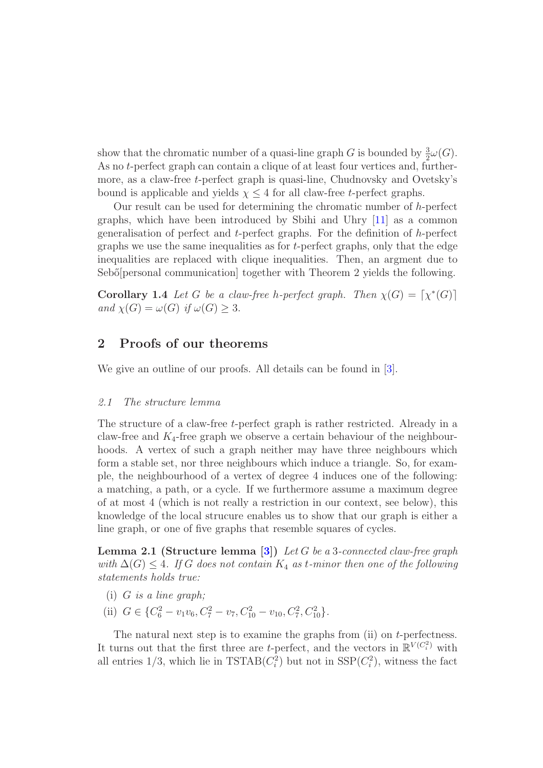show that the chromatic number of a quasi-line graph G is bounded by  $\frac{3}{2}\omega(G)$ . As no t-perfect graph can contain a clique of at least four vertices and, furthermore, as a claw-free t-perfect graph is quasi-line, Chudnovsky and Ovetsky's bound is applicable and yields  $\chi \leq 4$  for all claw-free t-perfect graphs.

Our result can be used for determining the chromatic number of h-perfect graphs, which have been introduced by Sbihi and Uhry [\[11\]](#page-6-5) as a common generalisation of perfect and t-perfect graphs. For the definition of h-perfect graphs we use the same inequalities as for t-perfect graphs, only that the edge inequalities are replaced with clique inequalities. Then, an argment due to Sebő[personal communication] together with Theorem 2 yields the following.

**Corollary 1.4** Let G be a claw-free h-perfect graph. Then  $\chi(G) = [\chi^*(G)]$ and  $\chi(G) = \omega(G)$  if  $\omega(G) > 3$ .

# 2 Proofs of our theorems

We give an outline of our proofs. All details can be found in [\[3\]](#page-5-2).

#### 2.1 The structure lemma

The structure of a claw-free *t*-perfect graph is rather restricted. Already in a claw-free and  $K_4$ -free graph we observe a certain behaviour of the neighbourhoods. A vertex of such a graph neither may have three neighbours which form a stable set, nor three neighbours which induce a triangle. So, for example, the neighbourhood of a vertex of degree 4 induces one of the following: a matching, a path, or a cycle. If we furthermore assume a maximum degree of at most 4 (which is not really a restriction in our context, see below), this knowledge of the local strucure enables us to show that our graph is either a line graph, or one of five graphs that resemble squares of cycles.

<span id="page-3-0"></span>**Lemma 2.1 (Structure lemma [\[3\]](#page-5-2))** Let G be a 3-connected claw-free graph with  $\Delta(G) \leq 4$ . If G does not contain  $K_4$  as t-minor then one of the following statements holds true:

- (i)  $G$  is a line graph;
- (ii)  $G \in \{C_6^2 v_1v_6, C_7^2 v_7, C_{10}^2 v_{10}, C_7^2, C_{10}^2\}.$

The natural next step is to examine the graphs from (ii) on  $t$ -perfectness. It turns out that the first three are *t*-perfect, and the vectors in  $\mathbb{R}^{V(C_i^2)}$  with all entries  $1/3$ , which lie in TSTAB $(C_i^2)$  but not in SSP $(C_i^2)$ , witness the fact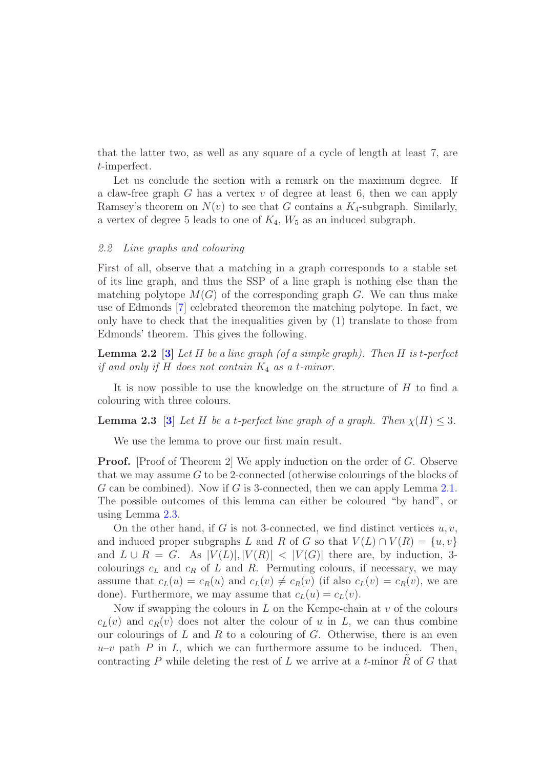that the latter two, as well as any square of a cycle of length at least 7, are t-imperfect.

Let us conclude the section with a remark on the maximum degree. If a claw-free graph  $G$  has a vertex  $v$  of degree at least 6, then we can apply Ramsey's theorem on  $N(v)$  to see that G contains a  $K_4$ -subgraph. Similarly, a vertex of degree 5 leads to one of  $K_4$ ,  $W_5$  as an induced subgraph.

#### 2.2 Line graphs and colouring

First of all, observe that a matching in a graph corresponds to a stable set of its line graph, and thus the SSP of a line graph is nothing else than the matching polytope  $M(G)$  of the corresponding graph G. We can thus make use of Edmonds [\[7\]](#page-6-6) celebrated theoremon the matching polytope. In fact, we only have to check that the inequalities given by (1) translate to those from Edmonds' theorem. This gives the following.

<span id="page-4-1"></span>**Lemma 2.2** [\[3\]](#page-5-2) Let H be a line graph (of a simple graph). Then H is t-perfect if and only if  $H$  does not contain  $K_4$  as a t-minor.

It is now possible to use the knowledge on the structure of  $H$  to find a colouring with three colours.

<span id="page-4-0"></span>**Lemma 2.3** [\[3\]](#page-5-2) Let H be a t-perfect line graph of a graph. Then  $\chi(H) \leq 3$ .

We use the lemma to prove our first main result.

**Proof.** [Proof of Theorem 2] We apply induction on the order of G. Observe that we may assume  $G$  to be 2-connected (otherwise colourings of the blocks of G can be combined). Now if G is 3-connected, then we can apply Lemma [2.1.](#page-3-0) The possible outcomes of this lemma can either be coloured "by hand", or using Lemma [2.3.](#page-4-0)

On the other hand, if G is not 3-connected, we find distinct vertices  $u, v$ , and induced proper subgraphs L and R of G so that  $V(L) \cap V(R) = \{u, v\}$ and  $L \cup R = G$ . As  $|V(L)|, |V(R)| < |V(G)|$  there are, by induction, 3colourings  $c<sub>L</sub>$  and  $c<sub>R</sub>$  of  $L$  and  $R$ . Permuting colours, if necessary, we may assume that  $c_L(u) = c_R(u)$  and  $c_L(v) \neq c_R(v)$  (if also  $c_L(v) = c_R(v)$ , we are done). Furthermore, we may assume that  $c_L(u) = c_L(v)$ .

Now if swapping the colours in  $L$  on the Kempe-chain at  $v$  of the colours  $c_L(v)$  and  $c_R(v)$  does not alter the colour of u in L, we can thus combine our colourings of L and R to a colouring of G. Otherwise, there is an even  $u-v$  path P in L, which we can furthermore assume to be induced. Then, contracting P while deleting the rest of  $L$  we arrive at a t-minor  $R$  of  $G$  that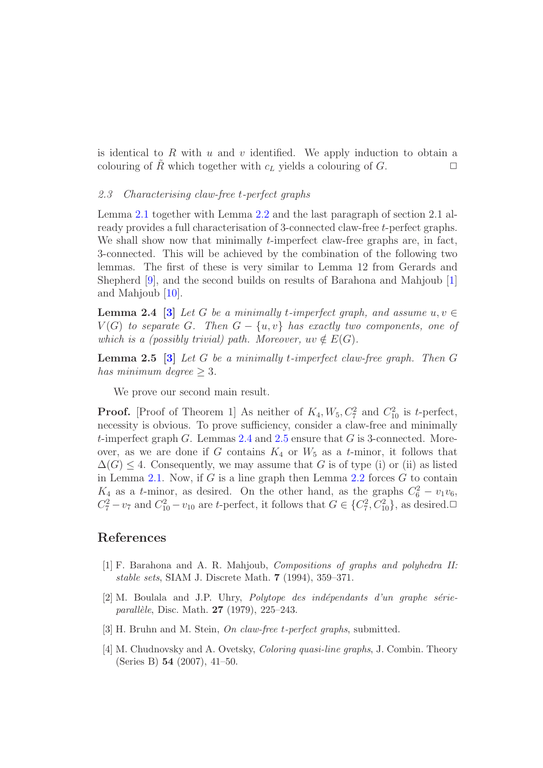is identical to R with u and v identified. We apply induction to obtain a colouring of R which together with  $c<sub>L</sub>$  yields a colouring of G.  $\Box$ 

#### 2.3 Characterising claw-free t-perfect graphs

Lemma [2.1](#page-3-0) together with Lemma [2.2](#page-4-1) and the last paragraph of section 2.1 already provides a full characterisation of 3-connected claw-free t-perfect graphs. We shall show now that minimally  $t$ -imperfect claw-free graphs are, in fact, 3-connected. This will be achieved by the combination of the following two lemmas. The first of these is very similar to Lemma 12 from Gerards and Shepherd [\[9\]](#page-6-2), and the second builds on results of Barahona and Mahjoub [\[1\]](#page-5-3) and Mahjoub [\[10\]](#page-6-7).

<span id="page-5-4"></span>**Lemma 2.4 [\[3\]](#page-5-2)** Let G be a minimally t-imperfect graph, and assume  $u, v \in$  $V(G)$  to separate G. Then  $G - \{u, v\}$  has exactly two components, one of which is a (possibly trivial) path. Moreover,  $uv \notin E(G)$ .

<span id="page-5-5"></span>**Lemma 2.5** [\[3\]](#page-5-2) Let G be a minimally t-imperfect claw-free graph. Then  $G$ has minimum degree  $\geq 3$ .

We prove our second main result.

**Proof.** [Proof of Theorem 1] As neither of  $K_4$ ,  $W_5$ ,  $C_7^2$  and  $C_{10}^2$  is t-perfect, necessity is obvious. To prove sufficiency, consider a claw-free and minimally t-imperfect graph  $G$ . Lemmas [2.4](#page-5-4) and [2.5](#page-5-5) ensure that  $G$  is 3-connected. Moreover, as we are done if G contains  $K_4$  or  $W_5$  as a t-minor, it follows that  $\Delta(G)$  < 4. Consequently, we may assume that G is of type (i) or (ii) as listed in Lemma [2.1.](#page-3-0) Now, if G is a line graph then Lemma [2.2](#page-4-1) forces  $G$  to contain  $K_4$  as a t-minor, as desired. On the other hand, as the graphs  $C_6^2 - v_1v_6$ ,  $C_7^2 - v_7$  and  $C_{10}^2 - v_{10}$  are t-perfect, it follows that  $G \in \{C_7^2, C_{10}^2\}$ , as desired.

# <span id="page-5-3"></span>References

- [1] F. Barahona and A. R. Mahjoub, Compositions of graphs and polyhedra II: stable sets, SIAM J. Discrete Math. 7 (1994), 359–371.
- <span id="page-5-0"></span> $[2]$  M. Boulala and J.P. Uhry, *Polytope des indépendants d'un graphe série*parallèle, Disc. Math.  $27$  (1979), 225–243.
- <span id="page-5-2"></span><span id="page-5-1"></span>[3] H. Bruhn and M. Stein, On claw-free t-perfect graphs, submitted.
- [4] M. Chudnovsky and A. Ovetsky, Coloring quasi-line graphs, J. Combin. Theory (Series B) 54 (2007), 41–50.